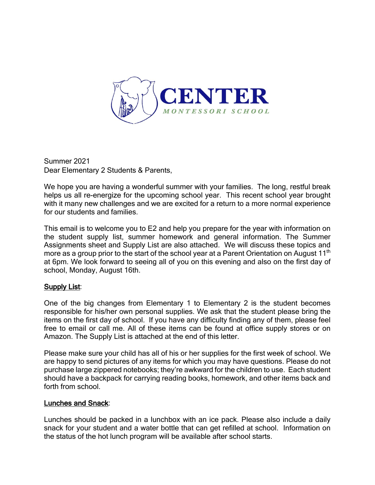

Summer 2021 Dear Elementary 2 Students & Parents,

We hope you are having a wonderful summer with your families. The long, restful break helps us all re-energize for the upcoming school year. This recent school year brought with it many new challenges and we are excited for a return to a more normal experience for our students and families.

This email is to welcome you to E2 and help you prepare for the year with information on the student supply list, summer homework and general information. The Summer Assignments sheet and Supply List are also attached. We will discuss these topics and more as a group prior to the start of the school year at a Parent Orientation on August 11<sup>th</sup> at 6pm. We look forward to seeing all of you on this evening and also on the first day of school, Monday, August 16th.

## Supply List:

One of the big changes from Elementary 1 to Elementary 2 is the student becomes responsible for his/her own personal supplies. We ask that the student please bring the items on the first day of school. If you have any difficulty finding any of them, please feel free to email or call me. All of these items can be found at office supply stores or on Amazon. The Supply List is attached at the end of this letter.

Please make sure your child has all of his or her supplies for the first week of school. We are happy to send pictures of any items for which you may have questions. Please do not purchase large zippered notebooks; they're awkward for the children to use. Each student should have a backpack for carrying reading books, homework, and other items back and forth from school.

#### Lunches and Snack:

Lunches should be packed in a lunchbox with an ice pack. Please also include a daily snack for your student and a water bottle that can get refilled at school. Information on the status of the hot lunch program will be available after school starts.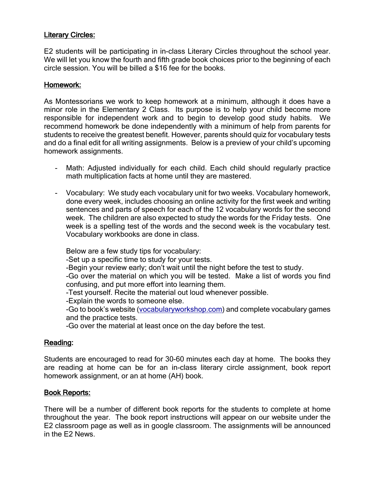# Literary Circles:

E2 students will be participating in in-class Literary Circles throughout the school year. We will let you know the fourth and fifth grade book choices prior to the beginning of each circle session. You will be billed a \$16 fee for the books.

### Homework:

As Montessorians we work to keep homework at a minimum, although it does have a minor role in the Elementary 2 Class. Its purpose is to help your child become more responsible for independent work and to begin to develop good study habits. We recommend homework be done independently with a minimum of help from parents for students to receive the greatest benefit. However, parents should quiz for vocabulary tests and do a final edit for all writing assignments. Below is a preview of your child's upcoming homework assignments.

- Math: Adjusted individually for each child. Each child should regularly practice math multiplication facts at home until they are mastered.
- Vocabulary: We study each vocabulary unit for two weeks. Vocabulary homework, done every week, includes choosing an online activity for the first week and writing sentences and parts of speech for each of the 12 vocabulary words for the second week. The children are also expected to study the words for the Friday tests. One week is a spelling test of the words and the second week is the vocabulary test. Vocabulary workbooks are done in class.

Below are a few study tips for vocabulary:

-Set up a specific time to study for your tests.

-Begin your review early; don't wait until the night before the test to study.

-Go over the material on which you will be tested. Make a list of words you find confusing, and put more effort into learning them.

-Test yourself. Recite the material out loud whenever possible.

-Explain the words to someone else.

-Go to book's website (vocabularyworkshop.com) and complete vocabulary games and the practice tests.

-Go over the material at least once on the day before the test.

## Reading:

Students are encouraged to read for 30-60 minutes each day at home. The books they are reading at home can be for an in-class literary circle assignment, book report homework assignment, or an at home (AH) book.

## Book Reports:

There will be a number of different book reports for the students to complete at home throughout the year. The book report instructions will appear on our website under the E2 classroom page as well as in google classroom. The assignments will be announced in the E2 News.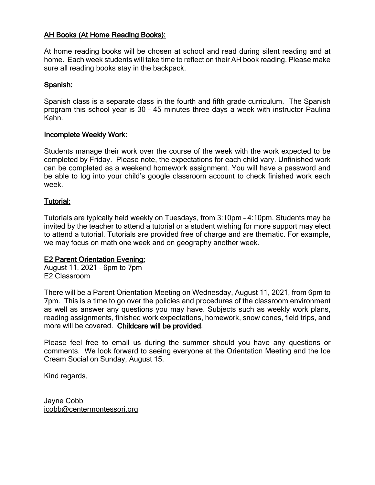# AH Books (At Home Reading Books):

At home reading books will be chosen at school and read during silent reading and at home. Each week students will take time to reflect on their AH book reading. Please make sure all reading books stay in the backpack.

## Spanish:

Spanish class is a separate class in the fourth and fifth grade curriculum. The Spanish program this school year is 30 – 45 minutes three days a week with instructor Paulina Kahn.

### Incomplete Weekly Work:

Students manage their work over the course of the week with the work expected to be completed by Friday. Please note, the expectations for each child vary. Unfinished work can be completed as a weekend homework assignment. You will have a password and be able to log into your child's google classroom account to check finished work each week.

## Tutorial:

Tutorials are typically held weekly on Tuesdays, from 3:10pm – 4:10pm. Students may be invited by the teacher to attend a tutorial or a student wishing for more support may elect to attend a tutorial. Tutorials are provided free of charge and are thematic. For example, we may focus on math one week and on geography another week.

## **E2 Parent Orientation Evening:**

August 11, 2021 – 6pm to 7pm E2 Classroom

There will be a Parent Orientation Meeting on Wednesday, August 11, 2021, from 6pm to 7pm. This is a time to go over the policies and procedures of the classroom environment as well as answer any questions you may have. Subjects such as weekly work plans, reading assignments, finished work expectations, homework, snow cones, field trips, and more will be covered. Childcare will be provided.

Please feel free to email us during the summer should you have any questions or comments. We look forward to seeing everyone at the Orientation Meeting and the Ice Cream Social on Sunday, August 15.

Kind regards,

Jayne Cobb jcobb@centermontessori.org